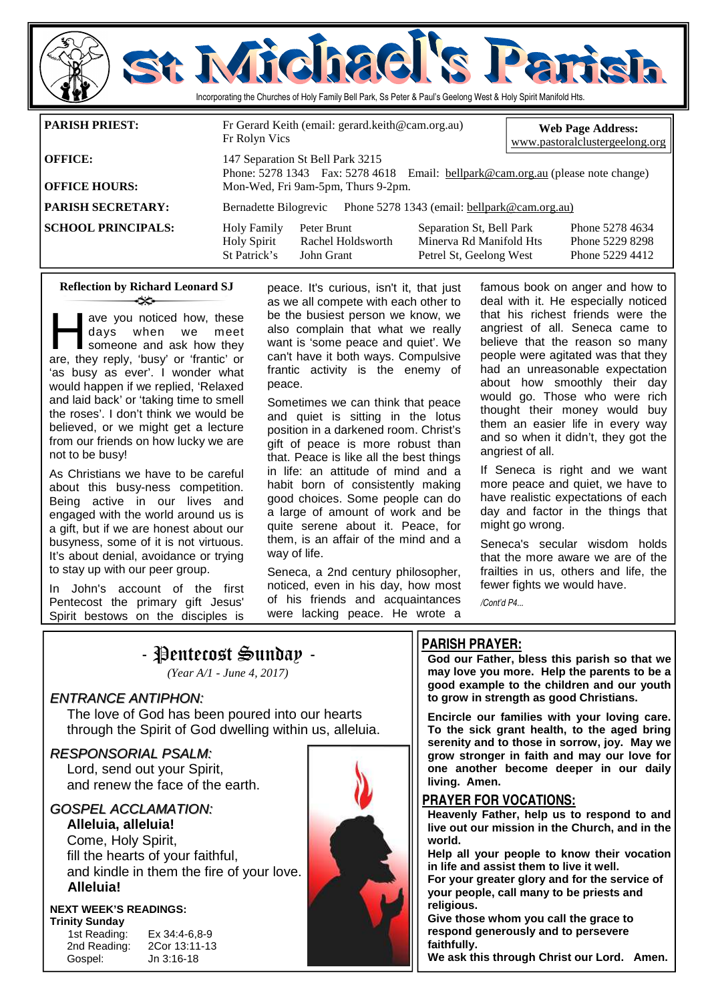

**PARISH SECRETARY:** Bernadette Bilogrevic Phone 5278 1343 (email: bellpark@cam.org.au)

| <b>SCHOOL PRINCIPALS:</b><br>Phone 5278 4634<br>Separation St, Bell Park<br>Holy Family<br>Peter Brunt<br>Minerva Rd Manifold Hts<br>Phone 5229 8298<br>Rachel Holdsworth<br><b>Holy Spirit</b><br>Petrel St, Geelong West<br>Phone 5229 4412<br>St Patrick's<br>John Grant |
|-----------------------------------------------------------------------------------------------------------------------------------------------------------------------------------------------------------------------------------------------------------------------------|
|-----------------------------------------------------------------------------------------------------------------------------------------------------------------------------------------------------------------------------------------------------------------------------|

### **Reflection by Richard Leonard SJ**  ન્≫

ave you noticed how, these<br>days when we meet<br>someone and ask how they days when we meet someone and ask how they are, they reply, 'busy' or 'frantic' or 'as busy as ever'. I wonder what would happen if we replied, 'Relaxed and laid back' or 'taking time to smell the roses'. I don't think we would be believed, or we might get a lecture from our friends on how lucky we are not to be busy!

As Christians we have to be careful about this busy-ness competition. Being active in our lives and engaged with the world around us is a gift, but if we are honest about our busyness, some of it is not virtuous. It's about denial, avoidance or trying to stay up with our peer group.

In John's account of the first Pentecost the primary gift Jesus' Spirit bestows on the disciples is

peace. It's curious, isn't it, that just as we all compete with each other to be the busiest person we know, we also complain that what we really want is 'some peace and quiet'. We can't have it both ways. Compulsive frantic activity is the enemy of peace.

Sometimes we can think that peace and quiet is sitting in the lotus position in a darkened room. Christ's gift of peace is more robust than that. Peace is like all the best things in life: an attitude of mind and a habit born of consistently making good choices. Some people can do a large of amount of work and be quite serene about it. Peace, for them, is an affair of the mind and a way of life.

Seneca, a 2nd century philosopher, noticed, even in his day, how most of his friends and acquaintances were lacking peace. He wrote a famous book on anger and how to deal with it. He especially noticed that his richest friends were the angriest of all. Seneca came to believe that the reason so many people were agitated was that they had an unreasonable expectation about how smoothly their day would go. Those who were rich thought their money would buy them an easier life in every way and so when it didn't, they got the angriest of all.

If Seneca is right and we want more peace and quiet, we have to have realistic expectations of each day and factor in the things that might go wrong.

Seneca's secular wisdom holds that the more aware we are of the frailties in us, others and life, the fewer fights we would have.

*/Cont'd P4...* 

# - Pentecost Sunday -

*(Year A/1 - June 4, 2017)* 

# ENTRANCE ANTIPHON:

 The love of God has been poured into our hearts through the Spirit of God dwelling within us, alleluia.

# RESPONSORIAL PSALM:

 Lord, send out your Spirit, and renew the face of the earth.

# GOSPEL ACCLAMATION:

**Alleluia, alleluia!**  Come, Holy Spirit, fill the hearts of your faithful, and kindle in them the fire of your love. **Alleluia!** 

### **NEXT WEEK'S READINGS: Trinity Sunday**

1st Reading: Ex 34:4-6,8-9 2nd Reading: 2Cor 13:11-13 Gospel: Jn 3:16-18



# **PARISH PRAYER:**

**God our Father, bless this parish so that we may love you more. Help the parents to be a good example to the children and our youth to grow in strength as good Christians.** 

**Encircle our families with your loving care. To the sick grant health, to the aged bring serenity and to those in sorrow, joy. May we grow stronger in faith and may our love for one another become deeper in our daily living. Amen.** 

# **PRAYER FOR VOCATIONS:**

**Heavenly Father, help us to respond to and live out our mission in the Church, and in the world.** 

**Help all your people to know their vocation in life and assist them to live it well.** 

**For your greater glory and for the service of your people, call many to be priests and religious.** 

**Give those whom you call the grace to respond generously and to persevere faithfully.** 

**We ask this through Christ our Lord. Amen.**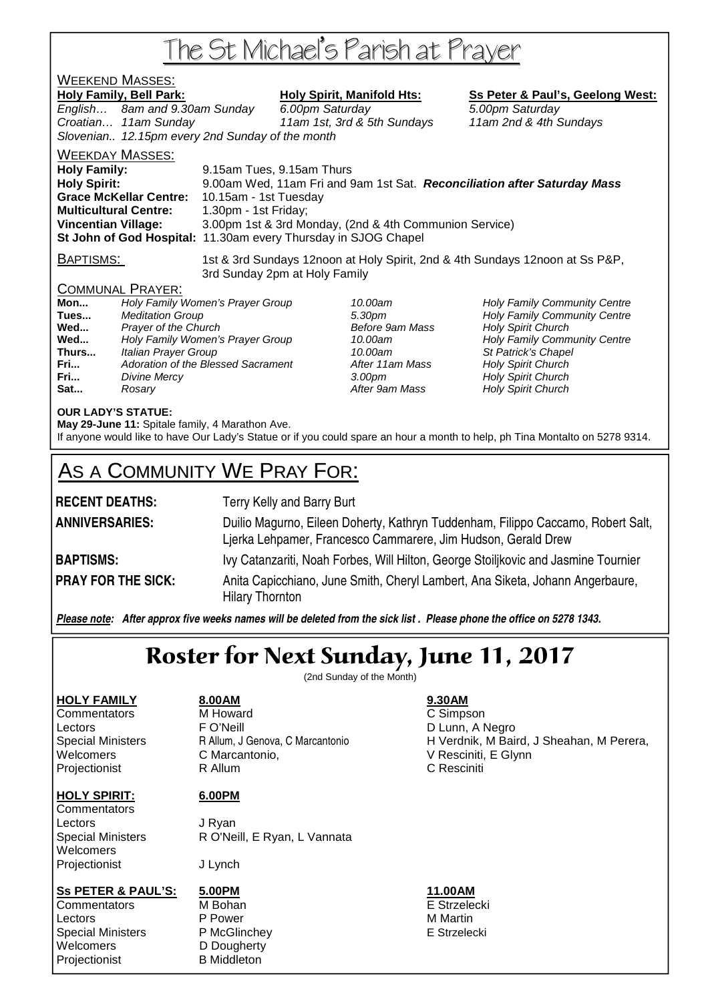# The St Michael's Parish at Prayer

# WEEKEND MASSES:

Holy Family, Bell Park: Holy Spirit, Manifold Hts: Ss Peter & Paul's, Geelong West:

English... 8am and 9.30am Sunday 6.00pm Saturday 6.00 5.00pm Saturday Croatian… 11am Sunday 11am 1st, 3rd & 5th Sundays 11am 2nd & 4th Sundays Slovenian.. 12.15pm every 2nd Sunday of the month

WEEKDAY MASSES: **Holy Family:** 9.15am Tues, 9.15am Thurs **Holy Spirit:** 9.00am Wed, 11am Fri and 9am 1st Sat. **Reconciliation after Saturday Mass Grace McKellar Centre:** 10.15am - 1st Tuesday **Multicultural Centre:** 1.30pm - 1st Friday; **Vincentian Village:** 3.00pm 1st & 3rd Monday, (2nd & 4th Communion Service) **St John of God Hospital:** 11.30am every Thursday in SJOG Chapel

BAPTISMS: 1st & 3rd Sundays 12noon at Holy Spirit, 2nd & 4th Sundays 12noon at Ss P&P, 3rd Sunday 2pm at Holy Family

## COMMUNAL PRAYER:

| Mon   | Holy Family Women's Prayer Group   |
|-------|------------------------------------|
| Tues  | <b>Meditation Group</b>            |
| Wed   | Prayer of the Church               |
| Wed   | Holy Family Women's Prayer Group   |
| Thurs | Italian Prayer Group               |
| Fri   | Adoration of the Blessed Sacrament |
| Fri   | Divine Mercy                       |
| Sat   | Rosarv                             |

**After 11am Mass Holy Spirit Church** After 9am Mass **Holy Spirit Church** 

10.00am **Holy Family Community Centre Tues 3.30pm Holy Family Community Centre Before 9am Mass Holy Spirit Church Before 9am Mass Holy Spirit Church** 10.00am **Holy Family Community Centre** 10.00am St Patrick's Chapel **Franch 3.00pm** Holy Spirit Church

## **OUR LADY'S STATUE:**

**May 29-June 11:** Spitale family, 4 Marathon Ave. If anyone would like to have Our Lady's Statue or if you could spare an hour a month to help, ph Tina Montalto on 5278 9314.

# AS A COMMUNITY WE PRAY FOR:

| <b>RECENT DEATHS:</b><br><b>ANNIVERSARIES:</b> | Terry Kelly and Barry Burt<br>Duilio Magurno, Eileen Doherty, Kathryn Tuddenham, Filippo Caccamo, Robert Salt,<br>Ljerka Lehpamer, Francesco Cammarere, Jim Hudson, Gerald Drew |
|------------------------------------------------|---------------------------------------------------------------------------------------------------------------------------------------------------------------------------------|
| <b>BAPTISMS:</b>                               | Ivy Catanzariti, Noah Forbes, Will Hilton, George Stoiljkovic and Jasmine Tournier                                                                                              |
| <b>PRAY FOR THE SICK:</b>                      | Anita Capicchiano, June Smith, Cheryl Lambert, Ana Siketa, Johann Angerbaure,<br><b>Hilary Thornton</b>                                                                         |

*Please note: After approx five weeks names will be deleted from the sick list . Please phone the office on 5278 1343.*

# Roster for Next Sunday, June 11, 2017

(2nd Sunday of the Month)

**HOLY FAMILY 8.00AM 9.30AM** Commentators M Howard C Simpson Lectors **FO'Neill** FO'Neill **D** Lunn, A Negro Welcomers C Marcantonio, V Resciniti, E Glynn Projectionist **R** Allum **C Resciniti** 

# **HOLY SPIRIT: 6.00PM**

**Commentators** Lectors **J** Ryan **Welcomers** Projectionist J Lynch

Special Ministers R O'Neill, E Ryan, L Vannata

## **Ss PETER & PAUL'S: 5.00PM 11.00AM**

Commentators M Bohan E Strzelecki Lectors **P** Power **P** Power M Martin Special Ministers **P McGlinchey Community** E Strzelecki Welcomers **D** D Dougherty Projectionist B Middleton

Special Ministers **R** Allum, J Genova, C Marcantonio **H** Verdnik, M Baird, J Sheahan, M Perera,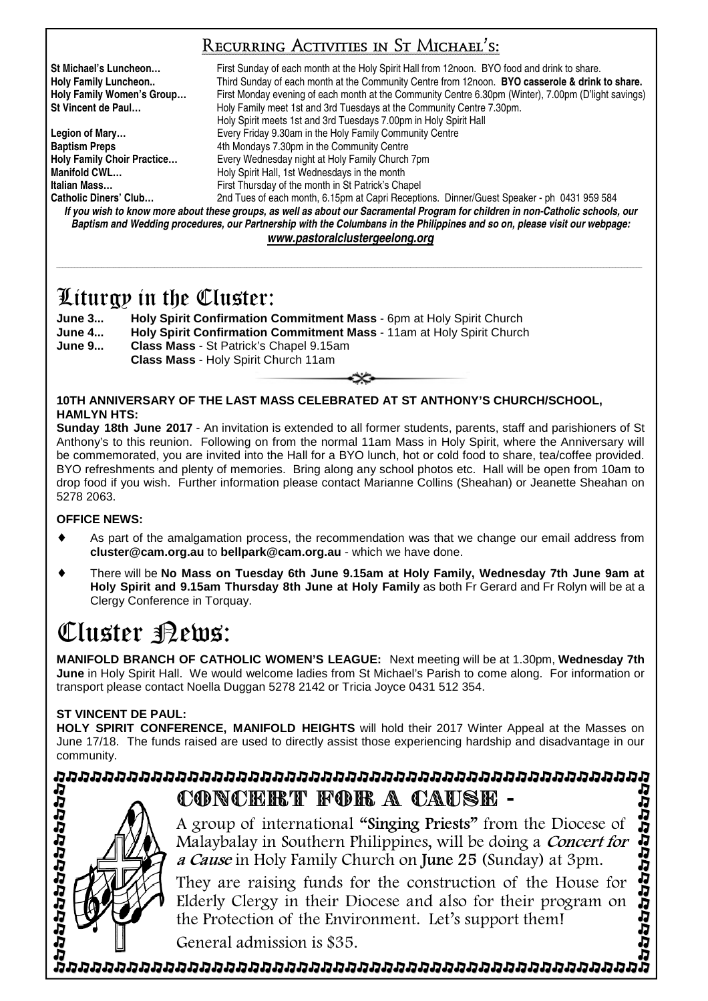# Recurring Activities in St Michael's:

**St Michael's Luncheon…** First Sunday of each month at the Holy Spirit Hall from 12noon. BYO food and drink to share. **Holy Family Luncheon..** Third Sunday of each month at the Community Centre from 12noon. **BYO casserole & drink to share. Holy Family Women's Group…** First Monday evening of each month at the Community Centre 6.30pm (Winter), 7.00pm (D'light savings) **St Vincent de Paul…** Holy Family meet 1st and 3rd Tuesdays at the Community Centre 7.30pm. Holy Spirit meets 1st and 3rd Tuesdays 7.00pm in Holy Spirit Hall **Legion of Mary…** Every Friday 9.30am in the Holy Family Community Centre **Baptism Preps** <br> **Holy Family Choir Practice...** Every Wednesday night at Holy Family Church **Holy Family Choir Practice…** Every Wednesday night at Holy Family Church 7pm **Manifold CWL... Holy Spirit Hall, 1st Wednesdays in the month Italian Mass…** First Thursday of the month in St Patrick's Chapel 2nd Tues of each month, 6.15pm at Capri Receptions. Dinner/Guest Speaker - ph 0431 959 584

*If you wish to know more about these groups, as well as about our Sacramental Program for children in non-Catholic schools, our Baptism and Wedding procedures, our Partnership with the Columbans in the Philippines and so on, please visit our webpage: www.pastoralclustergeelong.org*

\_\_\_\_\_\_\_\_\_\_\_\_\_\_\_\_\_\_\_\_\_\_\_\_\_\_\_\_\_\_\_\_\_\_\_\_\_\_\_\_\_\_\_\_\_\_\_\_\_\_\_\_\_\_\_\_\_\_\_\_\_\_\_\_\_\_\_\_\_\_\_\_\_\_\_\_\_\_\_\_\_\_\_\_\_\_\_\_\_\_\_\_\_\_\_\_\_\_\_\_\_\_\_\_\_\_\_\_\_\_\_\_\_\_\_\_\_\_\_\_\_\_\_\_\_\_\_\_\_\_\_\_\_\_\_\_\_\_\_\_\_\_\_\_\_\_\_\_\_\_\_\_\_\_\_\_\_\_\_\_\_\_\_\_\_\_\_\_\_\_\_\_\_\_\_\_\_\_\_\_\_\_\_\_\_\_\_\_\_\_\_\_\_\_\_\_\_

# Liturgy in the Cluster:

**June 3... Holy Spirit Confirmation Commitment Mass - 6pm at Holy Spirit Church June 4... Holy Spirit Confirmation Commitment Mass - 11am at Holy Spirit Church Holy Spirit Confirmation Commitment Mass - 11am at Holy Spirit Church June 9... Class Mass** - St Patrick's Chapel 9.15am **Class Mass** - Holy Spirit Church 11am

# **10TH ANNIVERSARY OF THE LAST MASS CELEBRATED AT ST ANTHONY'S CHURCH/SCHOOL, HAMLYN HTS:**

**Sunday 18th June 2017** - An invitation is extended to all former students, parents, staff and parishioners of St Anthony's to this reunion. Following on from the normal 11am Mass in Holy Spirit, where the Anniversary will be commemorated, you are invited into the Hall for a BYO lunch, hot or cold food to share, tea/coffee provided. BYO refreshments and plenty of memories. Bring along any school photos etc. Hall will be open from 10am to drop food if you wish. Further information please contact Marianne Collins (Sheahan) or Jeanette Sheahan on 5278 2063.

# **OFFICE NEWS:**

- As part of the amalgamation process, the recommendation was that we change our email address from **cluster@cam.org.au** to **bellpark@cam.org.au** - which we have done.
- There will be No Mass on Tuesday 6th June 9.15am at Holy Family, Wednesday 7th June 9am at **Holy Spirit and 9.15am Thursday 8th June at Holy Family** as both Fr Gerard and Fr Rolyn will be at a Clergy Conference in Torquay.

# Cluster Rews:

**MANIFOLD BRANCH OF CATHOLIC WOMEN'S LEAGUE:** Next meeting will be at 1.30pm, **Wednesday 7th June** in Holy Spirit Hall. We would welcome ladies from St Michael's Parish to come along. For information or transport please contact Noella Duggan 5278 2142 or Tricia Joyce 0431 512 354.

# **ST VINCENT DE PAUL:**

**HOLY SPIRIT CONFERENCE, MANIFOLD HEIGHTS** will hold their 2017 Winter Appeal at the Masses on June 17/18. The funds raised are used to directly assist those experiencing hardship and disadvantage in our community.

# CONCERT FOR A CAUSE -



A group of international "Singing Priests" from the Diocese of Malaybalay in Southern Philippines, will be doing a *Concert for* a Cause in Holy Family Church on June 25 (Sunday) at 3pm.

They are raising funds for the construction of the House for Elderly Clergy in their Diocese and also for their program on the Protection of the Environment. Let's support them! General admission is \$35.